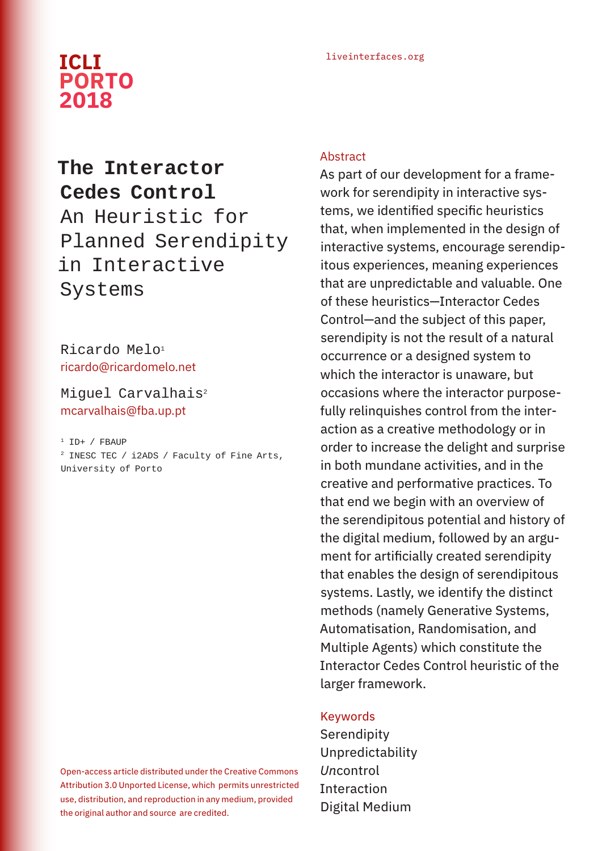# liveinterfaces.org **ICLI PORTO 2018**

# **The Interactor Cedes Control** An Heuristic for Planned Serendipity in Interactive Systems

Ricardo Melo<sup>1</sup> ricardo@ricardomelo.net

Miquel Carvalhais<sup>2</sup> mcarvalhais@fba.up.pt

#### $1$  ID+ / FBAUP

2 INESC TEC / i2ADS / Faculty of Fine Arts, University of Porto

Open-access article distributed under the Creative Commons Attribution 3.0 Unported License, which permits unrestricted use, distribution, and reproduction in any medium, provided the original author and source are credited.

#### Abstract

As part of our development for a framework for serendipity in interactive systems, we identified specific heuristics that, when implemented in the design of interactive systems, encourage serendipitous experiences, meaning experiences that are unpredictable and valuable. One of these heuristics—Interactor Cedes Control—and the subject of this paper, serendipity is not the result of a natural occurrence or a designed system to which the interactor is unaware, but occasions where the interactor purposefully relinquishes control from the interaction as a creative methodology or in order to increase the delight and surprise in both mundane activities, and in the creative and performative practices. To that end we begin with an overview of the serendipitous potential and history of the digital medium, followed by an argument for artificially created serendipity that enables the design of serendipitous systems. Lastly, we identify the distinct methods (namely Generative Systems, Automatisation, Randomisation, and Multiple Agents) which constitute the Interactor Cedes Control heuristic of the larger framework.

#### Keywords

Serendipity Unpredictability *Un*control **Interaction** Digital Medium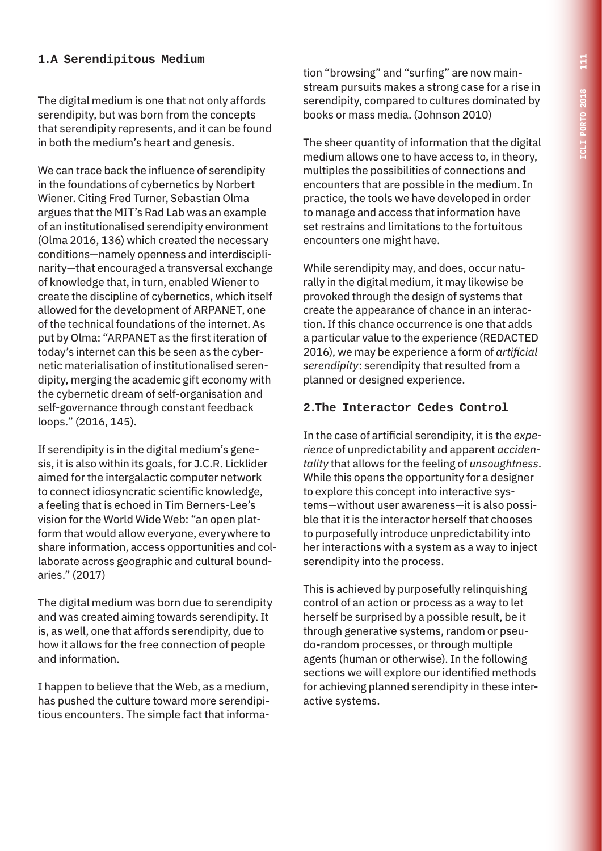### **1.A Serendipitous Medium**

The digital medium is one that not only affords serendipity, but was born from the concepts that serendipity represents, and it can be found in both the medium's heart and genesis.

We can trace back the influence of serendipity in the foundations of cybernetics by Norbert Wiener. Citing Fred Turner, Sebastian Olma argues that the MIT's Rad Lab was an example of an institutionalised serendipity environment (Olma 2016, 136) which created the necessary conditions—namely openness and interdisciplinarity—that encouraged a transversal exchange of knowledge that, in turn, enabled Wiener to create the discipline of cybernetics, which itself allowed for the development of ARPANET, one of the technical foundations of the internet. As put by Olma: "ARPANET as the first iteration of today's internet can this be seen as the cybernetic materialisation of institutionalised serendipity, merging the academic gift economy with the cybernetic dream of self-organisation and self-governance through constant feedback loops." (2016, 145).

If serendipity is in the digital medium's genesis, it is also within its goals, for J.C.R. Licklider aimed for the intergalactic computer network to connect idiosyncratic scientific knowledge, a feeling that is echoed in Tim Berners-Lee's vision for the World Wide Web: "an open platform that would allow everyone, everywhere to share information, access opportunities and collaborate across geographic and cultural boundaries." (2017)

The digital medium was born due to serendipity and was created aiming towards serendipity. It is, as well, one that affords serendipity, due to how it allows for the free connection of people and information.

I happen to believe that the Web, as a medium, has pushed the culture toward more serendipitious encounters. The simple fact that information "browsing" and "surfing" are now mainstream pursuits makes a strong case for a rise in serendipity, compared to cultures dominated by books or mass media. (Johnson 2010)

The sheer quantity of information that the digital medium allows one to have access to, in theory, multiples the possibilities of connections and encounters that are possible in the medium. In practice, the tools we have developed in order to manage and access that information have set restrains and limitations to the fortuitous encounters one might have.

While serendipity may, and does, occur naturally in the digital medium, it may likewise be provoked through the design of systems that create the appearance of chance in an interaction. If this chance occurrence is one that adds a particular value to the experience (REDACTED 2016), we may be experience a form of *artificial serendipity*: serendipity that resulted from a planned or designed experience.

#### **2.The Interactor Cedes Control**

In the case of artificial serendipity, it is the *experience* of unpredictability and apparent *accidentality* that allows for the feeling of *unsoughtness*. While this opens the opportunity for a designer to explore this concept into interactive systems—without user awareness—it is also possible that it is the interactor herself that chooses to purposefully introduce unpredictability into her interactions with a system as a way to inject serendipity into the process.

This is achieved by purposefully relinquishing control of an action or process as a way to let herself be surprised by a possible result, be it through generative systems, random or pseudo-random processes, or through multiple agents (human or otherwise). In the following sections we will explore our identified methods for achieving planned serendipity in these interactive systems.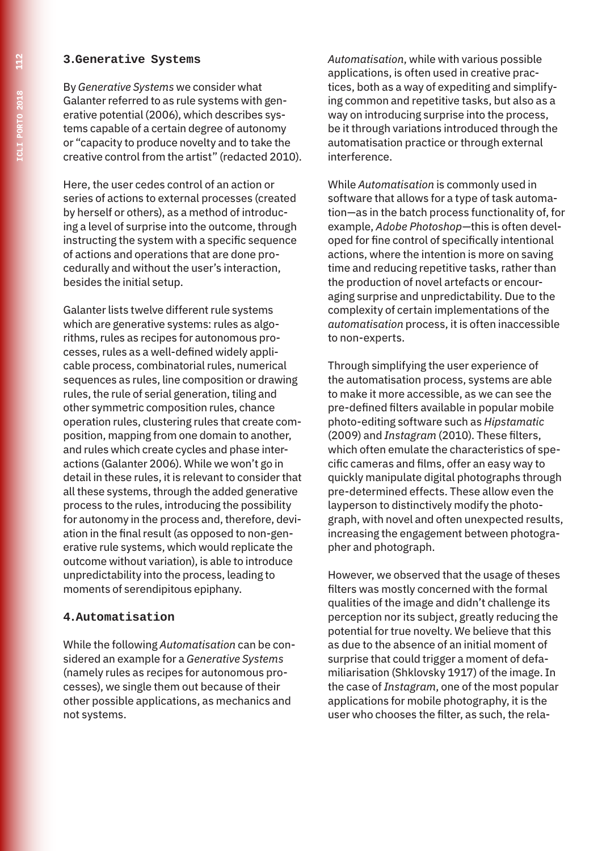#### **3.Generative Systems**

By *Generative Systems* we consider what Galanter referred to as rule systems with generative potential (2006), which describes systems capable of a certain degree of autonomy or "capacity to produce novelty and to take the creative control from the artist" (redacted 2010).

Here, the user cedes control of an action or series of actions to external processes (created by herself or others), as a method of introducing a level of surprise into the outcome, through instructing the system with a specific sequence of actions and operations that are done procedurally and without the user's interaction, besides the initial setup.

Galanter lists twelve different rule systems which are generative systems: rules as algorithms, rules as recipes for autonomous processes, rules as a well-defined widely applicable process, combinatorial rules, numerical sequences as rules, line composition or drawing rules, the rule of serial generation, tiling and other symmetric composition rules, chance operation rules, clustering rules that create composition, mapping from one domain to another, and rules which create cycles and phase interactions (Galanter 2006). While we won't go in detail in these rules, it is relevant to consider that all these systems, through the added generative process to the rules, introducing the possibility for autonomy in the process and, therefore, deviation in the final result (as opposed to non-generative rule systems, which would replicate the outcome without variation), is able to introduce unpredictability into the process, leading to moments of serendipitous epiphany.

#### **4.Automatisation**

While the following *Automatisation* can be considered an example for a *Generative Systems* (namely rules as recipes for autonomous processes), we single them out because of their other possible applications, as mechanics and not systems.

*Automatisation*, while with various possible applications, is often used in creative practices, both as a way of expediting and simplifying common and repetitive tasks, but also as a way on introducing surprise into the process, be it through variations introduced through the automatisation practice or through external interference.

While *Automatisation* is commonly used in software that allows for a type of task automation—as in the batch process functionality of, for example, *Adobe Photoshop*—this is often developed for fine control of specifically intentional actions, where the intention is more on saving time and reducing repetitive tasks, rather than the production of novel artefacts or encouraging surprise and unpredictability. Due to the complexity of certain implementations of the *automatisation* process, it is often inaccessible to non-experts.

Through simplifying the user experience of the automatisation process, systems are able to make it more accessible, as we can see the pre-defined filters available in popular mobile photo-editing software such as *Hipstamatic* (2009) and *Instagram* (2010). These filters, which often emulate the characteristics of specific cameras and films, offer an easy way to quickly manipulate digital photographs through pre-determined effects. These allow even the layperson to distinctively modify the photograph, with novel and often unexpected results, increasing the engagement between photographer and photograph.

However, we observed that the usage of theses filters was mostly concerned with the formal qualities of the image and didn't challenge its perception nor its subject, greatly reducing the potential for true novelty. We believe that this as due to the absence of an initial moment of surprise that could trigger a moment of defamiliarisation (Shklovsky 1917) of the image. In the case of*Instagram*, one of the most popular applications for mobile photography, it is the user who chooses the filter, as such, the rela-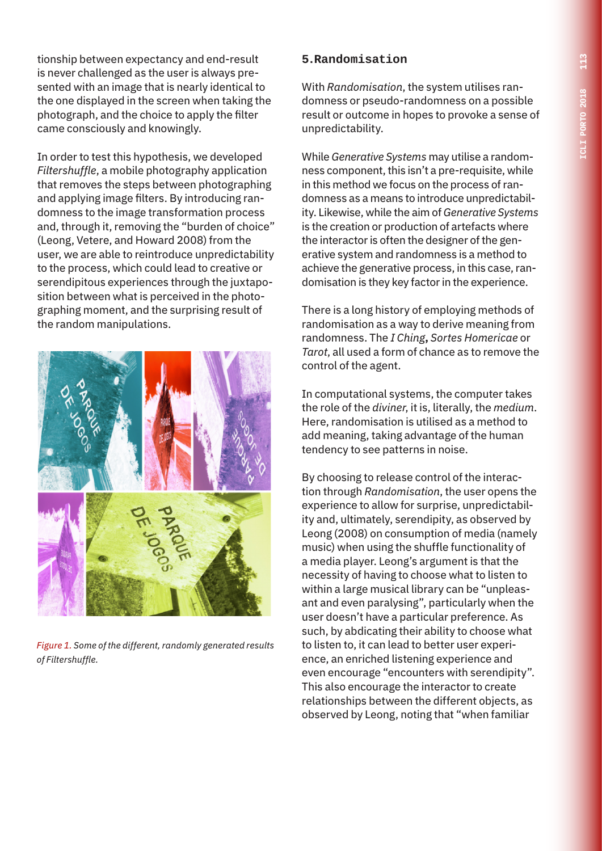tionship between expectancy and end-result is never challenged as the user is always presented with an image that is nearly identical to the one displayed in the screen when taking the photograph, and the choice to apply the filter came consciously and knowingly.

In order to test this hypothesis, we developed *Filtershuffle*, a mobile photography application that removes the steps between photographing and applying image filters. By introducing randomness to the image transformation process and, through it, removing the "burden of choice" (Leong, Vetere, and Howard 2008) from the user, we are able to reintroduce unpredictability to the process, which could lead to creative or serendipitous experiences through the juxtaposition between what is perceived in the photographing moment, and the surprising result of the random manipulations.



*Figure 1. Some of the different, randomly generated results of Filtershuffle.*

## **5.Randomisation**

With *Randomisation*, the system utilises randomness or pseudo-randomness on a possible result or outcome in hopes to provoke a sense of unpredictability.

While *Generative Systems* may utilise a randomness component, this isn't a pre-requisite, while in this method we focus on the process of randomness as a means to introduce unpredictability. Likewise, while the aim of *Generative Systems* is the creation or production of artefacts where the interactor is often the designer of the generative system and randomness is a method to achieve the generative process, in this case, randomisation is they key factor in the experience.

There is a long history of employing methods of randomisation as a way to derive meaning from randomness. The *I Ching***,** *Sortes Homericae* or *Tarot*, all used a form of chance as to remove the control of the agent.

In computational systems, the computer takes the role of the *diviner*, it is, literally, the *medium*. Here, randomisation is utilised as a method to add meaning, taking advantage of the human tendency to see patterns in noise.

By choosing to release control of the interaction through *Randomisation*, the user opens the experience to allow for surprise, unpredictability and, ultimately, serendipity, as observed by Leong (2008) on consumption of media (namely music) when using the shuffle functionality of a media player. Leong's argument is that the necessity of having to choose what to listen to within a large musical library can be "unpleasant and even paralysing", particularly when the user doesn't have a particular preference. As such, by abdicating their ability to choose what to listen to, it can lead to better user experience, an enriched listening experience and even encourage "encounters with serendipity". This also encourage the interactor to create relationships between the different objects, as observed by Leong, noting that "when familiar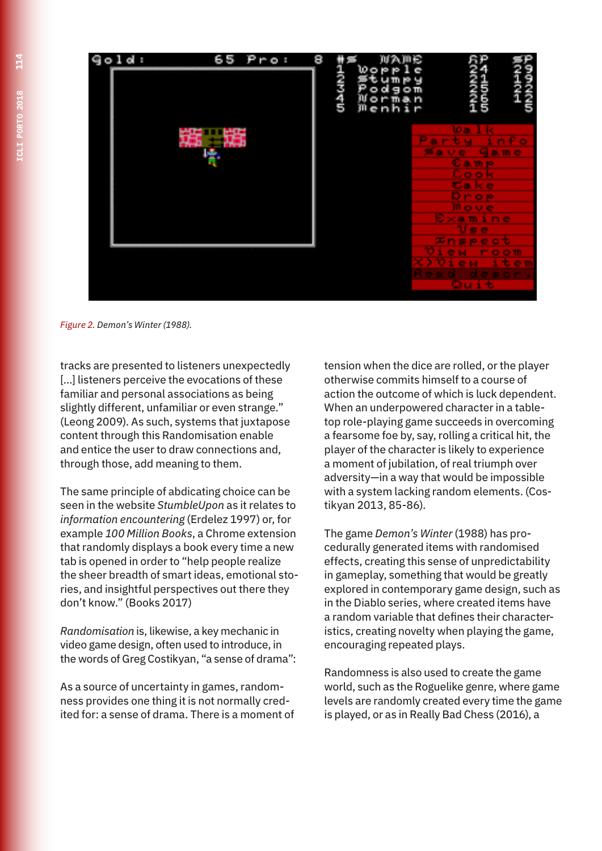

*Figure 2. Demon's Winter (1988).*

tracks are presented to listeners unexpectedly [...] listeners perceive the evocations of these familiar and personal associations as being slightly different, unfamiliar or even strange." (Leong 2009). As such, systems that juxtapose content through this Randomisation enable and entice the user to draw connections and, through those, add meaning to them.

The same principle of abdicating choice can be seen in the website *StumbleUpon* as it relates to *information encountering* (Erdelez 1997) or, for example *100 Million Books*, a Chrome extension that randomly displays a book every time a new tab is opened in order to "help people realize the sheer breadth of smart ideas, emotional stories, and insightful perspectives out there they don't know." (Books 2017)

*Randomisation* is, likewise, a key mechanic in video game design, often used to introduce, in the words of Greg Costikyan, "a sense of drama":

As a source of uncertainty in games, randomness provides one thing it is not normally credited for: a sense of drama. There is a moment of

tension when the dice are rolled, or the player otherwise commits himself to a course of action the outcome of which is luck dependent. When an underpowered character in a tabletop role-playing game succeeds in overcoming a fearsome foe by, say, rolling a critical hit, the player of the character is likely to experience a moment of jubilation, of real triumph over adversity—in a way that would be impossible with a system lacking random elements. (Costikyan 2013, 85-86).

The game *Demon's Winter* (1988) has procedurally generated items with randomised effects, creating this sense of unpredictability in gameplay, something that would be greatly explored in contemporary game design, such as in the Diablo series, where created items have a random variable that defines their characteristics, creating novelty when playing the game, encouraging repeated plays.

Randomness is also used to create the game world, such as the Roguelike genre, where game levels are randomly created every time the game is played, or as in Really Bad Chess (2016), a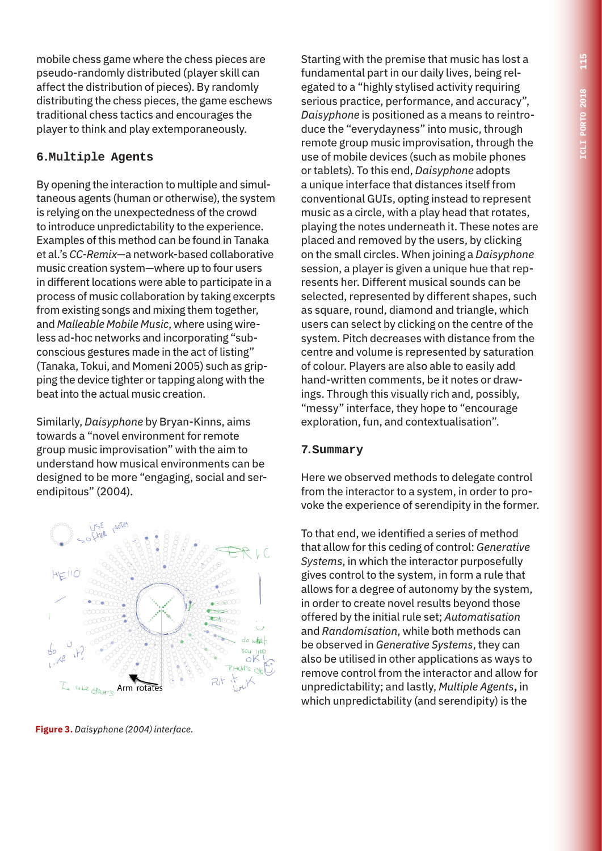mobile chess game where the chess pieces are pseudo-randomly distributed (player skill can affect the distribution of pieces). By randomly distributing the chess pieces, the game eschews traditional chess tactics and encourages the player to think and play extemporaneously.

## **6.Multiple Agents**

By opening the interaction to multiple and simultaneous agents (human or otherwise), the system is relying on the unexpectedness of the crowd to introduce unpredictability to the experience. Examples of this method can be found in Tanaka et al.'s *CC-Remix*—a network-based collaborative music creation system—where up to four users in different locations were able to participate in a process of music collaboration by taking excerpts from existing songs and mixing them together, and *Malleable Mobile Music*, where using wireless ad-hoc networks and incorporating "subconscious gestures made in the act of listing" (Tanaka, Tokui, and Momeni 2005) such as gripping the device tighter or tapping along with the beat into the actual music creation.

Similarly, *Daisyphone* by Bryan-Kinns, aims towards a "novel environment for remote group music improvisation" with the aim to understand how musical environments can be designed to be more "engaging, social and serendipitous" (2004).



**Figure 3.** *Daisyphone (2004) interface.*

Starting with the premise that music has lost a fundamental part in our daily lives, being relegated to a "highly stylised activity requiring serious practice, performance, and accuracy", *Daisyphone* is positioned as a means to reintroduce the "everydayness" into music, through remote group music improvisation, through the use of mobile devices (such as mobile phones or tablets). To this end, *Daisyphone* adopts a unique interface that distances itself from conventional GUIs, opting instead to represent music as a circle, with a play head that rotates, playing the notes underneath it. These notes are placed and removed by the users, by clicking on the small circles. When joining a *Daisyphone* session, a player is given a unique hue that represents her. Different musical sounds can be selected, represented by different shapes, such as square, round, diamond and triangle, which users can select by clicking on the centre of the system. Pitch decreases with distance from the centre and volume is represented by saturation of colour. Players are also able to easily add hand-written comments, be it notes or drawings. Through this visually rich and, possibly, "messy" interface, they hope to "encourage exploration, fun, and contextualisation".

#### **7.Summary**

Here we observed methods to delegate control from the interactor to a system, in order to provoke the experience of serendipity in the former.

To that end, we identified a series of method that allow for this ceding of control: *Generative Systems*, in which the interactor purposefully gives control to the system, in form a rule that allows for a degree of autonomy by the system, in order to create novel results beyond those offered by the initial rule set; *Automatisation* and *Randomisation*, while both methods can be observed in *Generative Systems*, they can also be utilised in other applications as ways to remove control from the interactor and allow for unpredictability; and lastly, *Multiple Agents***,** in which unpredictability (and serendipity) is the